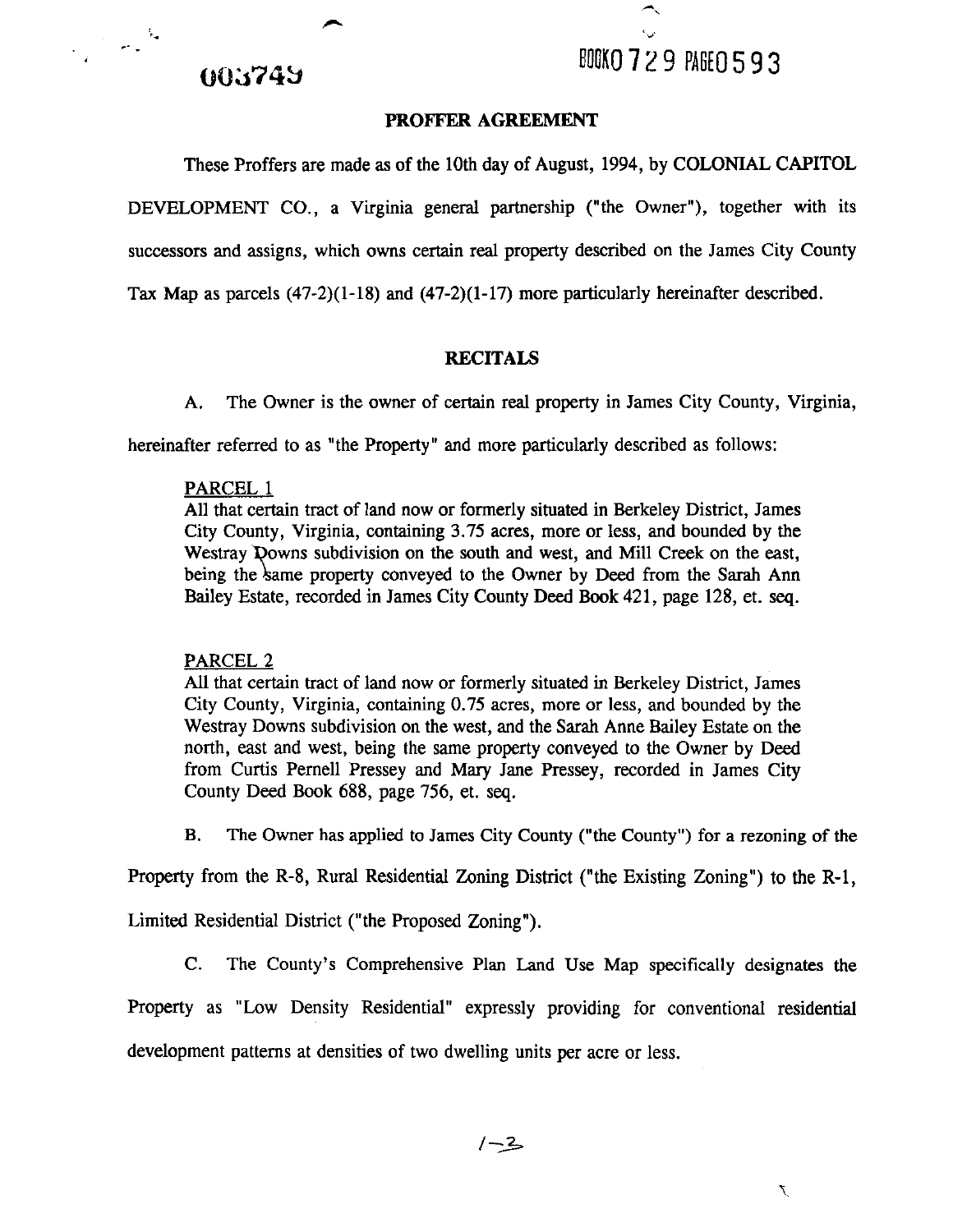## 003749

 $\label{eq:2} \frac{1}{\sqrt{2}}\int_{0}^{\infty}\frac{dx}{\sqrt{2\pi}}\,dx$ 

### **PROFFER AGREEMENT**

These Proffers are made as of the 10th day of August, 1994, by COLONIAL CAPITOL

DEVELOPMENT CO., a Virginia general partnership ("the Owner"), together with its successors and assigns, which owns certain real property described on the James City County Tax Map as parcels (47-2)(1-18) and (47-2)(1-17) more particularly hereinafter described.

## **RECITALS**

A. The Owner is the owner of certain real property in James City County, Virginia,

hereinafter referred to as "the Property" and more particularly described as follows:

### PARCEL 1

All that certain tract of land now or formerly situated in Berkeley District, James City County, Virginia, containing 3.75 acres, more or less, and bounded by the Westray Downs subdivision on the south and west, and Mill Creek on the east, being the same property conveyed to the Owner by Deed from the Sarah Ann Bailey Estate, recorded in James City County Deed **Book** 421, page 128, et. seq.

## PARCEL 2

All that certain tract of land now or formerly situated in Berkeley District, James City County, Virginia, containing 0.75 acres, more or less, and bounded by the Westray Downs subdivision on the west, and the Sarah Anne Bailey Estate on the north, east and west, being the same property conveyed to the Owner by Deed from Curtis Pernell Pressey and Mary Jane Pressey, recorded in James City County Deed Book 688, page 756, et. **seq.** 

**B.** The Owner has applied to James City County ("the County") for a rezoning of the

Property from the R-8, Rural Residential Zoning District ("the Existing Zoning") to the R-1,

Limited Residential District ("the Proposed Zoning").

C. The County's Comprehensive Plan Land Use Map specifically designates the

Property as "Low Density Residential" expressly providing for conventional residential

development patterns at densities of two dwelling units per acre or less.

$$
\overline{1-2}
$$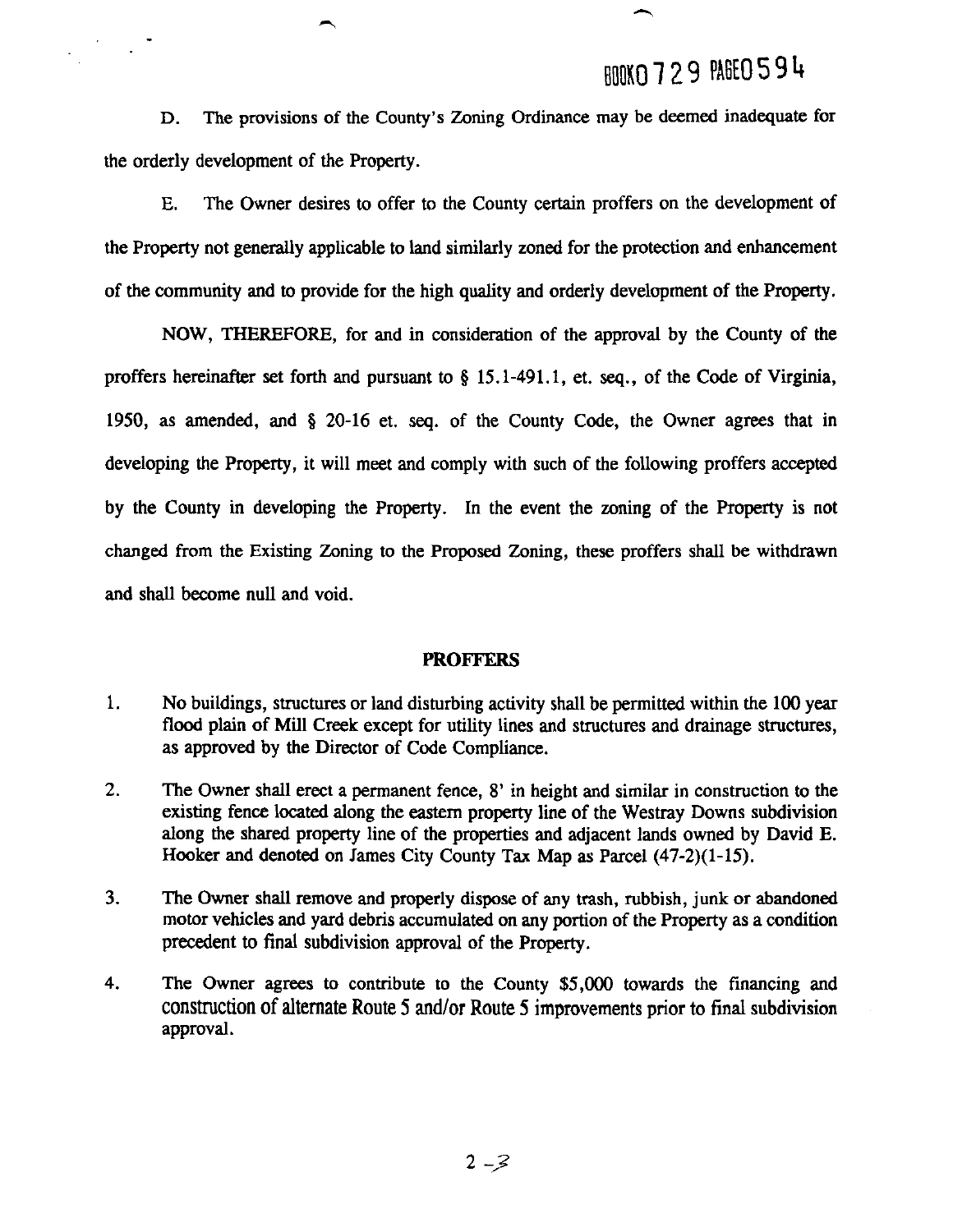# BOOKO 729 PAGE0594

**D.** The provisions of the County's Zoning Ordinance may be deemed inadequate for the orderly development of the Property.

 $\mathcal{F}^{\mathcal{G}}_{\mathcal{G}}(\mathcal{G})$ 

**E.** The Owner desires to offer to the County certain proffers on the development of the Property not generally applicable to land similarly zoned for the protection and enhancement of the community and to provide for the high quality and orderly development of the Property.

NOW, THEREFORE, for and in consideration of the approval by the County of the proffers hereinafter set forth and pursuant to **g** 15.1-491.1, et. **seq.,** of the Code of Virginia, 1950, as amended, and **8** 20-16 et. seq. of the County Code, the Owner agrees that in developing the Property, it will meet and comply with such of the following proffers accepted by the County in developing the Property. In the event the zoning of the Property is not changed from the Existing Zoning to the Proposed Zoning, these proffers shall be withdrawn and shall become null and void.

### **PROFFERS**

- $1.$ No buildings, structures or land disturbing activity shall be permitted withim the 100 year flood plain of Mill Creek except for utility lines and structures and drainage structures, as approved by the Director of Code Compliance.
- $2.$ The Owner shall erect a permanent fence, 8' in height and similar in construction to the existing fence located along the eastern property lime of the Westray Downs subdivision along the shared property line of the properties and adjacent lands owned by David E. Hooker and denoted on James City County **Tax** Map as Parcel (47-2)(1-15).
- $3<sub>1</sub>$ The Owner shall remove and properly dispose of any trash, rubbish, junk or abandoned motor vehicles and yard debris accumulated on any portion of the Property as a condition precedent to final subdivision approval of the Property.
- 4. The Owner agrees to contribute to the County \$5,000 towards the financing and construction of alternate Route 5 and/or Route 5 improvements prior to final subdivision approval.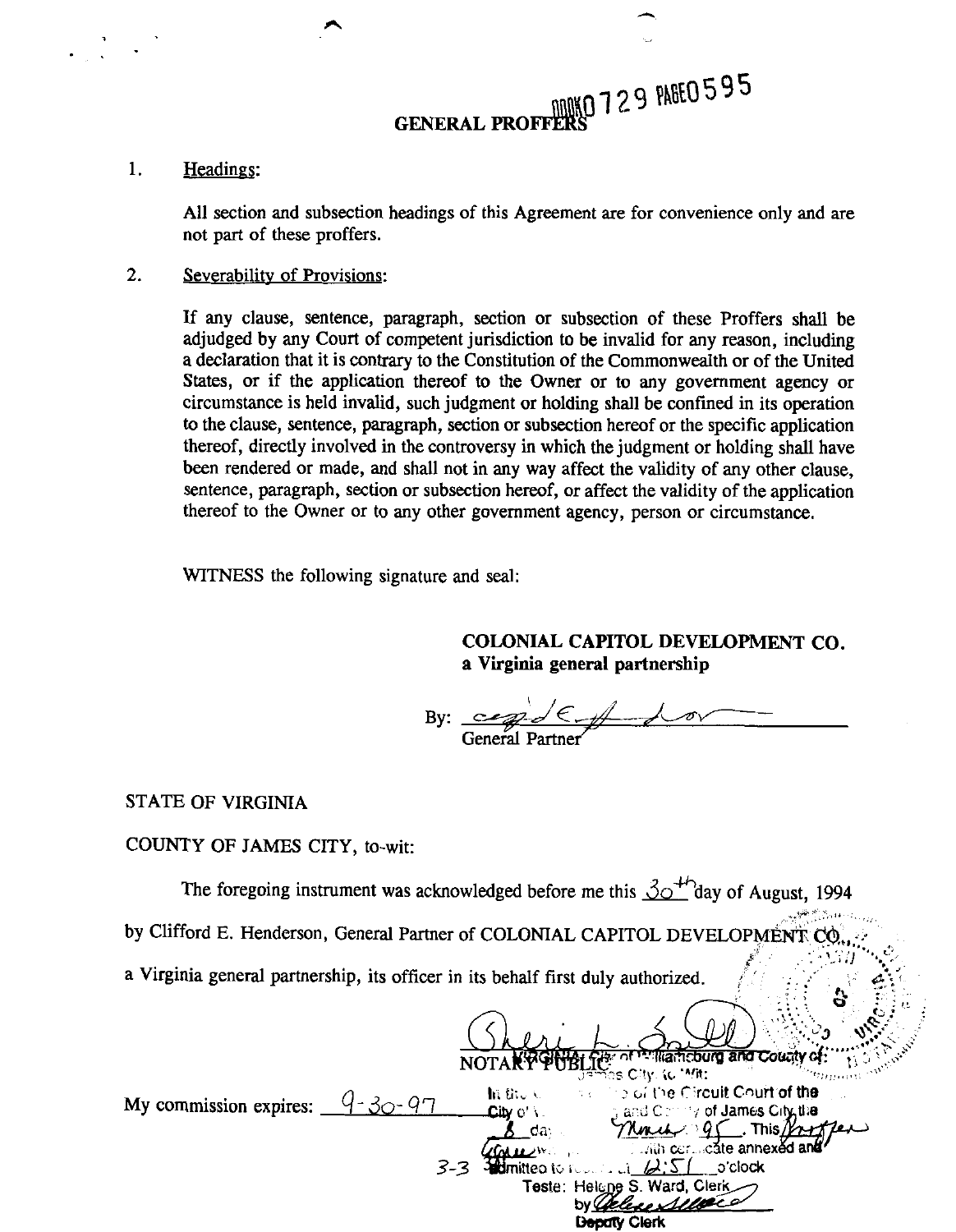# GENERAL PROFFERS 729 PAGE0595

### 1. Headines:

All section and subsection headings of this Agreement are for convenience only and are not part of these proffers.

#### $2.$ Severability of Provisions:

If any clause, sentence, paragraph, section or subsection of these Proffers shall be adjudged by any Court of competent jurisdiction to be invalid for any reason, including a declaration that it is contrary to the Constitution of the Commonwealth or of the United States, or if the application thereof to the Owner or to any government agency or circumstance is held invalid, such judgment or holding shall be confined in its operation to the clause, sentence, paragraph, section or subsection hereof or the specific application thereof, directly involved in the controversy in which the judgment or holding shall have been rendered or made, and shall not in any way affect the validity of any other clause, sentence, paragraph, section or subsection hereof, or affect the validity of the application thereof to the Owner or to any other government agency, person or circumstance.

WITNESS the following signature and seal:

**COLONIAL CAPITOL DEVELOPMENT CO. a Virginia general partnership** 

By:  $\frac{c}{c}$  C  $\neq$ 

### STATE OF VIRGINIA

### COUNTY OF JAMES CITY, to-wit:

The foregoing instrument was acknowledged before me this  $\beta$ <sup>+/-</sup>day of August, 1994

by Clifford E. Henderson, General Partner of COLONIAL CAPITOL DEVELOPMENT CO.

a Virginia general partnership, its officer in its behalf first duly authorized.

<sup>12</sup> Mamcburg and County of **1101ART PUBLICS City: (c. \*/ft;**<br>My commission expires:  $\frac{q - 30 - 97}{q - 300 - 97}$  by  $\frac{60 \text{ kT}}{q}$  and Commission expires:  $\frac{q - 30 - 97}{q}$ . This  $\gamma_{\rm eff}$ da: **3-3** *Quare Welling Convention Convention Convention Convention Convention Convention Convention Convention Convention Convention Convention Convention Convention Convention Convention Convention Convention Convention Conv* **Teste: Helene S. Ward, Clerk** by Chelese Selle co **Depaty Clerk**